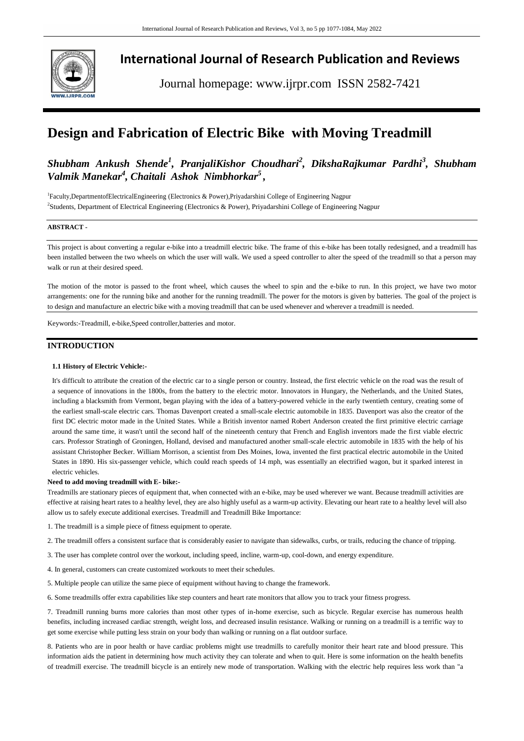

**International Journal of Research Publication and Reviews**

Journal homepage: www.ijrpr.com ISSN 2582-7421

# **Design and Fabrication of Electric Bike with Moving Treadmill**

# *Shubham Ankush Shende<sup>1</sup> , PranjaliKishor Choudhari<sup>2</sup> , DikshaRajkumar Pardhi<sup>3</sup> , Shubham Valmik Manekar<sup>4</sup> , Chaitali Ashok Nimbhorkar<sup>5</sup> ,*

1 Faculty,DepartmentofElectricalEngineering (Electronics & Power),Priyadarshini College of Engineering Nagpur 2 Students, Department of Electrical Engineering (Electronics & Power), Priyadarshini College of Engineering Nagpur

# **ABSTRACT -**

This project is about converting a regular e-bike into a treadmill electric bike. The frame of this e-bike has been totally redesigned, and a treadmill has been installed between the two wheels on which the user will walk. We used a speed controller to alter the speed of the treadmill so that a person may walk or run at their desired speed.

The motion of the motor is passed to the front wheel, which causes the wheel to spin and the e-bike to run. In this project, we have two motor arrangements: one for the running bike and another for the running treadmill. The power for the motors is given by batteries. The goal of the project is to design and manufacture an electric bike with a moving treadmill that can be used whenever and wherever a treadmill is needed.

Keywords:-Treadmill, e-bike,Speed controller,batteries and motor.

# **INTRODUCTION**

### **1.1 History of Electric Vehicle:-**

It's difficult to attribute the creation of the electric car to a single person or country. Instead, the first electric vehicle on the road was the result of a sequence of innovations in the 1800s, from the battery to the electric motor. Innovators in Hungary, the Netherlands, and the United States, including a blacksmith from Vermont, began playing with the idea of a battery-powered vehicle in the early twentieth century, creating some of the earliest small-scale electric cars. Thomas Davenport created a small-scale electric automobile in 1835. Davenport was also the creator of the first DC electric motor made in the United States. While a British inventor named Robert Anderson created the first primitive electric carriage around the same time, it wasn't until the second half of the nineteenth century that French and English inventors made the first viable electric cars. Professor Stratingh of Groningen, Holland, devised and manufactured another small-scale electric automobile in 1835 with the help of his assistant Christopher Becker. William Morrison, a scientist from Des Moines, Iowa, invented the first practical electric automobile in the United States in 1890. His six-passenger vehicle, which could reach speeds of 14 mph, was essentially an electrified wagon, but it sparked interest in electric vehicles.

### **Need to add moving treadmill with E- bike:-**

Treadmills are stationary pieces of equipment that, when connected with an e-bike, may be used wherever we want. Because treadmill activities are effective at raising heart rates to a healthy level, they are also highly useful as a warm-up activity. Elevating our heart rate to a healthy level will also allow us to safely execute additional exercises. Treadmill and Treadmill Bike Importance:

1. The treadmill is a simple piece of fitness equipment to operate.

2. The treadmill offers a consistent surface that is considerably easier to navigate than sidewalks, curbs, or trails, reducing the chance of tripping.

3. The user has complete control over the workout, including speed, incline, warm-up, cool-down, and energy expenditure.

4. In general, customers can create customized workouts to meet their schedules.

5. Multiple people can utilize the same piece of equipment without having to change the framework.

6. Some treadmills offer extra capabilities like step counters and heart rate monitors that allow you to track your fitness progress.

7. Treadmill running burns more calories than most other types of in-home exercise, such as bicycle. Regular exercise has numerous health benefits, including increased cardiac strength, weight loss, and decreased insulin resistance. Walking or running on a treadmill is a terrific way to get some exercise while putting less strain on your body than walking or running on a flat outdoor surface.

8. Patients who are in poor health or have cardiac problems might use treadmills to carefully monitor their heart rate and blood pressure. This information aids the patient in determining how much activity they can tolerate and when to quit. Here is some information on the health benefits of treadmill exercise. The treadmill bicycle is an entirely new mode of transportation. Walking with the electric help requires less work than "a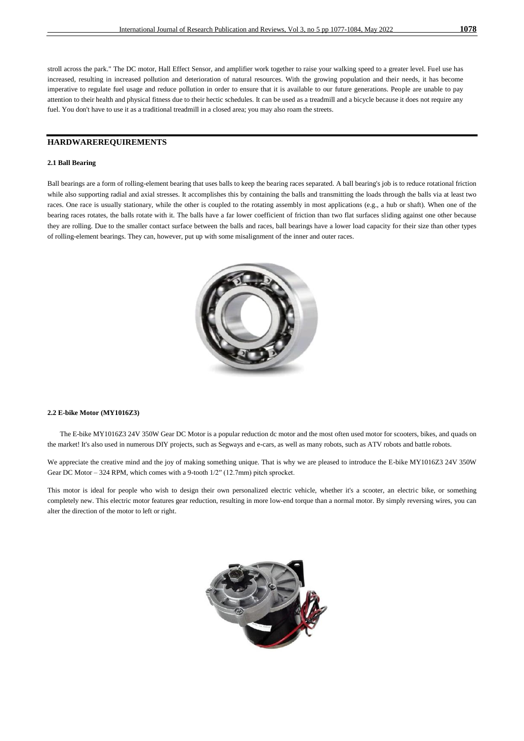stroll across the park." The DC motor, Hall Effect Sensor, and amplifier work together to raise your walking speed to a greater level. Fuel use has increased, resulting in increased pollution and deterioration of natural resources. With the growing population and their needs, it has become imperative to regulate fuel usage and reduce pollution in order to ensure that it is available to our future generations. People are unable to pay attention to their health and physical fitness due to their hectic schedules. It can be used as a treadmill and a bicycle because it does not require any fuel. You don't have to use it as a traditional treadmill in a closed area; you may also roam the streets.

# **HARDWAREREQUIREMENTS**

### **2.1 Ball Bearing**

Ball bearings are a form of rolling-element bearing that uses balls to keep the bearing races separated. A ball bearing's job is to reduce rotational friction while also supporting radial and axial stresses. It accomplishes this by containing the balls and transmitting the loads through the balls via at least two races. One race is usually stationary, while the other is coupled to the rotating assembly in most applications (e.g., a hub or shaft). When one of the bearing races rotates, the balls rotate with it. The balls have a far lower coefficient of friction than two flat surfaces sliding against one other because they are rolling. Due to the smaller contact surface between the balls and races, ball bearings have a lower load capacity for their size than other types of rolling-element bearings. They can, however, put up with some misalignment of the inner and outer races.



### **2.2 E-bike Motor (MY1016Z3)**

 The E-bike MY1016Z3 24V 350W Gear DC Motor is a popular reduction dc motor and the most often used motor for scooters, bikes, and quads on the market! It's also used in numerous DIY projects, such as Segways and e-cars, as well as many robots, such as ATV robots and battle robots.

We appreciate the creative mind and the joy of making something unique. That is why we are pleased to introduce the E-bike MY1016Z3 24V 350W Gear DC Motor – 324 RPM, which comes with a 9-tooth  $1/2$ <sup>"</sup> (12.7mm) pitch sprocket.

This motor is ideal for people who wish to design their own personalized electric vehicle, whether it's a scooter, an electric bike, or something completely new. This electric motor features gear reduction, resulting in more low-end torque than a normal motor. By simply reversing wires, you can alter the direction of the motor to left or right.

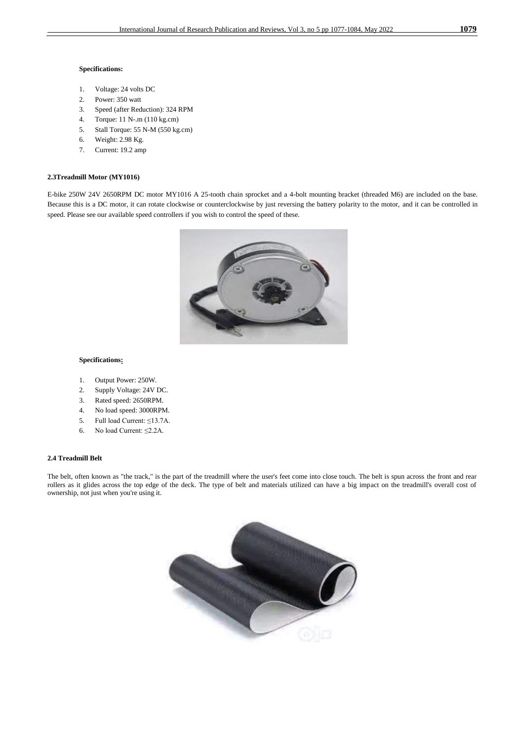### **Specifications:**

- 1. Voltage: 24 volts DC
- 2. Power: 350 watt
- 3. Speed (after Reduction): 324 RPM
- 4. Torque: 11 N-.m (110 kg.cm)
- 5. Stall Torque: 55 N-M (550 kg.cm)
- 6. Weight: 2.98 Kg.
- 7. Current: 19.2 amp

# **2.3Treadmill Motor (MY1016)**

E-bike 250W 24V 2650RPM DC motor MY1016 A 25-tooth chain sprocket and a 4-bolt mounting bracket (threaded M6) are included on the base. Because this is a DC motor, it can rotate clockwise or counterclockwise by just reversing the battery polarity to the motor, and it can be controlled in speed. Please see our available speed controllers if you wish to control the speed of these.



# **Specifications:**

- 1. Output Power: 250W.
- 2. Supply Voltage: 24V DC.
- 3. Rated speed: 2650RPM.
- 4. No load speed: 3000RPM.
- 5. Full load Current: ≤13.7A.
- 6. No load Current: ≤2.2A.

## **2.4 Treadmill Belt**

The belt, often known as "the track," is the part of the treadmill where the user's feet come into close touch. The belt is spun across the front and rear rollers as it glides across the top edge of the deck. The type of belt and materials utilized can have a big impact on the treadmill's overall cost of ownership, not just when you're using it.

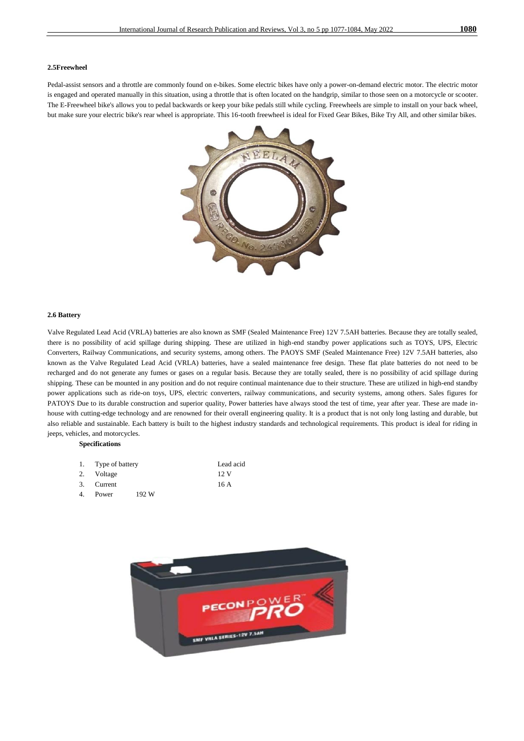### **2.5Freewheel**

Pedal-assist sensors and a throttle are commonly found on e-bikes. Some electric bikes have only a power-on-demand electric motor. The electric motor is engaged and operated manually in this situation, using a throttle that is often located on the handgrip, similar to those seen on a motorcycle or scooter. The E-Freewheel bike's allows you to pedal backwards or keep your bike pedals still while cycling. Freewheels are simple to install on your back wheel, but make sure your electric bike's rear wheel is appropriate. This 16-tooth freewheel is ideal for Fixed Gear Bikes, Bike Try All, and other similar bikes.



### **2.6 Battery**

Valve Regulated Lead Acid (VRLA) batteries are also known as SMF (Sealed Maintenance Free) 12V 7.5AH batteries. Because they are totally sealed, there is no possibility of acid spillage during shipping. These are utilized in high-end standby power applications such as TOYS, UPS, Electric Converters, Railway Communications, and security systems, among others. The PAOYS SMF (Sealed Maintenance Free) 12V 7.5AH batteries, also known as the Valve Regulated Lead Acid (VRLA) batteries, have a sealed maintenance free design. These flat plate batteries do not need to be recharged and do not generate any fumes or gases on a regular basis. Because they are totally sealed, there is no possibility of acid spillage during shipping. These can be mounted in any position and do not require continual maintenance due to their structure. These are utilized in high-end standby power applications such as ride-on toys, UPS, electric converters, railway communications, and security systems, among others. Sales figures for PATOYS Due to its durable construction and superior quality, Power batteries have always stood the test of time, year after year. These are made inhouse with cutting-edge technology and are renowned for their overall engineering quality. It is a product that is not only long lasting and durable, but also reliable and sustainable. Each battery is built to the highest industry standards and technological requirements. This product is ideal for riding in jeeps, vehicles, and motorcycles.

### **Specifications**

|    | 1. Type of battery |       | Lead acid |
|----|--------------------|-------|-----------|
|    | 2. Voltage         |       | 12. V     |
|    | 3. Current         |       | 16 A      |
| 4. | Power              | 192 W |           |

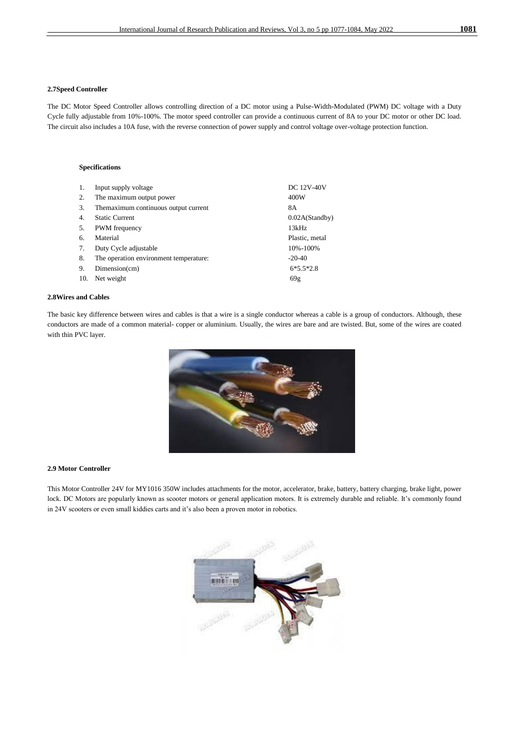### **2.7Speed Controller**

The DC Motor Speed Controller allows controlling direction of a DC motor using a Pulse-Width-Modulated (PWM) DC voltage with a Duty Cycle fully adjustable from 10%-100%. The motor speed controller can provide a continuous current of 8A to your DC motor or other DC load. The circuit also includes a 10A fuse, with the reverse connection of power supply and control voltage over-voltage protection function.

### **Specifications**

| 1.  | Input supply voltage                   | <b>DC 12V-40V</b> |
|-----|----------------------------------------|-------------------|
| 2.  | The maximum output power               | 400W              |
| 3.  | The maximum continuous output current  | 8A                |
| 4.  | <b>Static Current</b>                  | 0.02A(Standby)    |
| 5.  | <b>PWM</b> frequency                   | 13kHz             |
| б.  | Material                               | Plastic, metal    |
| 7.  | Duty Cycle adjustable                  | 10%-100%          |
| 8.  | The operation environment temperature: | $-20-40$          |
| 9.  | Dimension(cm)                          | $6*5.5*2.8$       |
| 10. | Net weight                             | 69g               |

# **2.8Wires and Cables**

The basic key difference between wires and cables is that a wire is a single conductor whereas a cable is a group of conductors. Although, these conductors are made of a common material- copper or aluminium. Usually, the wires are bare and are twisted. But, some of the wires are coated with thin PVC layer.



### **2.9 Motor Controller**

This Motor Controller 24V for MY1016 350W includes attachments for the motor, accelerator, brake, battery, battery charging, brake light, power lock. DC Motors are popularly known as scooter motors or general application motors. It is extremely durable and reliable. It's commonly found in 24V scooters or even small kiddies carts and it's also been a proven motor in robotics.

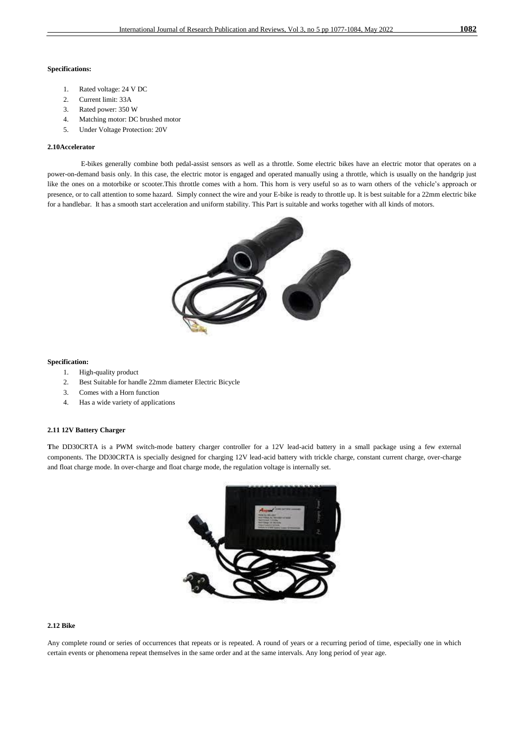### **Specifications:**

- 1. Rated voltage: 24 V DC
- 2. Current limit: 33A
- 3. Rated power: 350 W
- 4. Matching motor: DC brushed motor
- 5. Under Voltage Protection: 20V

### **2.10Accelerator**

 E-bikes generally combine both pedal-assist sensors as well as a throttle. Some electric bikes have an electric motor that operates on a power-on-demand basis only. In this case, the electric motor is engaged and operated manually using a throttle, which is usually on the handgrip just like the ones on a motorbike or scooter.This throttle comes with a horn. This horn is very useful so as to warn others of the vehicle's approach or presence, or to call attention to some hazard. Simply connect the wire and your E-bike is ready to throttle up. It is best suitable for a 22mm electric bike for a handlebar. It has a smooth start acceleration and uniform stability. This Part is suitable and works together with all kinds of motors.



### **Specification:**

- 1. High-quality product
- 2. Best Suitable for handle 22mm diameter Electric Bicycle
- 3. Comes with a Horn function
- 4. Has a wide variety of applications

### **2.11 12V Battery Charger**

**T**he DD30CRTA is a PWM switch-mode battery charger controller for a 12V lead-acid battery in a small package using a few external components. The DD30CRTA is specially designed for charging 12V lead-acid battery with trickle charge, constant current charge, over-charge and float charge mode. In over-charge and float charge mode, the regulation voltage is internally set.



### **2.12 Bike**

Any complete round or series of occurrences that repeats or is repeated. A round of years or a recurring period of time, especially one in which certain events or phenomena repeat themselves in the same order and at the same intervals. Any long period of year age.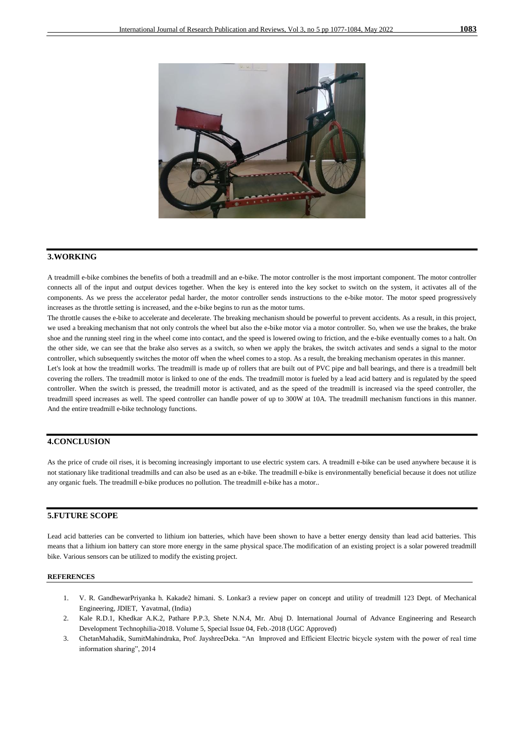

# **3.WORKING**

A treadmill e-bike combines the benefits of both a treadmill and an e-bike. The motor controller is the most important component. The motor controller connects all of the input and output devices together. When the key is entered into the key socket to switch on the system, it activates all of the components. As we press the accelerator pedal harder, the motor controller sends instructions to the e-bike motor. The motor speed progressively increases as the throttle setting is increased, and the e-bike begins to run as the motor turns.

The throttle causes the e-bike to accelerate and decelerate. The breaking mechanism should be powerful to prevent accidents. As a result, in this project, we used a breaking mechanism that not only controls the wheel but also the e-bike motor via a motor controller. So, when we use the brakes, the brake shoe and the running steel ring in the wheel come into contact, and the speed is lowered owing to friction, and the e-bike eventually comes to a halt. On the other side, we can see that the brake also serves as a switch, so when we apply the brakes, the switch activates and sends a signal to the motor controller, which subsequently switches the motor off when the wheel comes to a stop. As a result, the breaking mechanism operates in this manner.

Let's look at how the treadmill works. The treadmill is made up of rollers that are built out of PVC pipe and ball bearings, and there is a treadmill belt covering the rollers. The treadmill motor is linked to one of the ends. The treadmill motor is fueled by a lead acid battery and is regulated by the speed controller. When the switch is pressed, the treadmill motor is activated, and as the speed of the treadmill is increased via the speed controller, the treadmill speed increases as well. The speed controller can handle power of up to 300W at 10A. The treadmill mechanism functions in this manner. And the entire treadmill e-bike technology functions.

## **4.CONCLUSION**

As the price of crude oil rises, it is becoming increasingly important to use electric system cars. A treadmill e-bike can be used anywhere because it is not stationary like traditional treadmills and can also be used as an e-bike. The treadmill e-bike is environmentally beneficial because it does not utilize any organic fuels. The treadmill e-bike produces no pollution. The treadmill e-bike has a motor..

# **5.FUTURE SCOPE**

Lead acid batteries can be converted to lithium ion batteries, which have been shown to have a better energy density than lead acid batteries. This means that a lithium ion battery can store more energy in the same physical space.The modification of an existing project is a solar powered treadmill bike. Various sensors can be utilized to modify the existing project.

### **REFERENCES**

- 1. V. R. GandhewarPriyanka h. Kakade2 himani. S. Lonkar3 a review paper on concept and utility of treadmill 123 Dept. of Mechanical Engineering, JDIET, Yavatmal, (India)
- 2. Kale R.D.1, Khedkar A.K.2, Pathare P.P.3, Shete N.N.4, Mr. Abuj D. International Journal of Advance Engineering and Research Development Technophilia-2018. Volume 5, Special Issue 04, Feb.-2018 (UGC Approved)
- 3. ChetanMahadik, SumitMahindraka, Prof. JayshreeDeka. "An Improved and Efficient Electric bicycle system with the power of real time information sharing", 2014